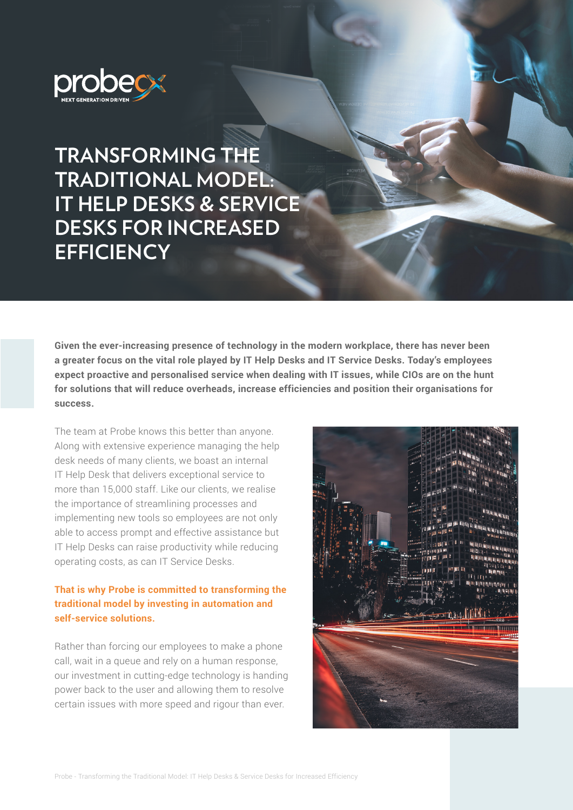

**TRANSFORMING THE TRADITIONAL MODEL: IT HELP DESKS & SERVICE DESKS FOR INCREASED EFFICIENCY**

**Given the ever-increasing presence of technology in the modern workplace, there has never been a greater focus on the vital role played by IT Help Desks and IT Service Desks. Today's employees expect proactive and personalised service when dealing with IT issues, while CIOs are on the hunt for solutions that will reduce overheads, increase efficiencies and position their organisations for success.** 

The team at Probe knows this better than anyone. Along with extensive experience managing the help desk needs of many clients, we boast an internal IT Help Desk that delivers exceptional service to more than 15,000 staff. Like our clients, we realise the importance of streamlining processes and implementing new tools so employees are not only able to access prompt and effective assistance but IT Help Desks can raise productivity while reducing operating costs, as can IT Service Desks.

### **That is why Probe is committed to transforming the traditional model by investing in automation and self-service solutions.**

Rather than forcing our employees to make a phone call, wait in a queue and rely on a human response, our investment in cutting-edge technology is handing power back to the user and allowing them to resolve certain issues with more speed and rigour than ever.